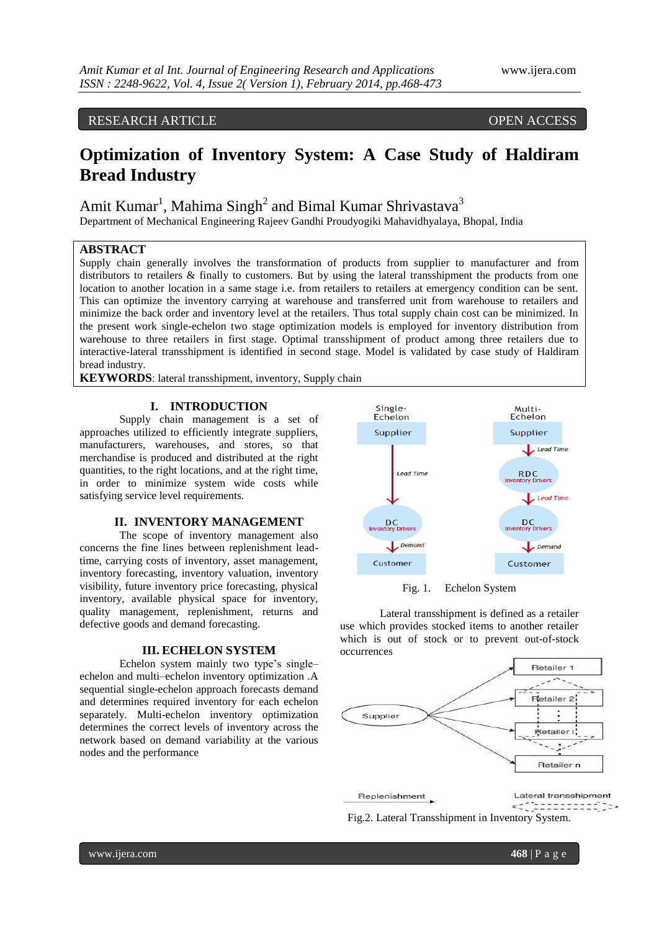# RESEARCH ARTICLE OPEN ACCESS

# **Optimization of Inventory System: A Case Study of Haldiram Bread Industry**

Amit Kumar<sup>1</sup>, Mahima Singh<sup>2</sup> and Bimal Kumar Shrivastava<sup>3</sup>

Department of Mechanical Engineering Rajeev Gandhi Proudyogiki Mahavidhyalaya, Bhopal, India

# **ABSTRACT**

Supply chain generally involves the transformation of products from supplier to manufacturer and from distributors to retailers & finally to customers. But by using the lateral transshipment the products from one location to another location in a same stage i.e. from retailers to retailers at emergency condition can be sent. This can optimize the inventory carrying at warehouse and transferred unit from warehouse to retailers and minimize the back order and inventory level at the retailers. Thus total supply chain cost can be minimized. In the present work single-echelon two stage optimization models is employed for inventory distribution from warehouse to three retailers in first stage. Optimal transshipment of product among three retailers due to interactive-lateral transshipment is identified in second stage. Model is validated by case study of Haldiram bread industry.

**KEYWORDS**: lateral transshipment, inventory, Supply chain

# **I. INTRODUCTION**

Supply chain management is a set of approaches utilized to efficiently integrate suppliers, manufacturers, warehouses, and stores, so that merchandise is produced and distributed at the right quantities, to the right locations, and at the right time, in order to minimize system wide costs while satisfying service level requirements.

### **II. INVENTORY MANAGEMENT**

The scope of inventory management also concerns the fine lines between replenishment leadtime, carrying costs of inventory, asset management, inventory forecasting, inventory valuation, inventory visibility, future inventory price forecasting, physical inventory, available physical space for inventory, quality management, replenishment, returns and defective goods and demand forecasting.

#### **III. ECHELON SYSTEM**

Echelon system mainly two type's single– echelon and multi–echelon inventory optimization .A sequential single-echelon approach forecasts demand and determines required inventory for each echelon separately. Multi-echelon inventory optimization determines the correct levels of inventory across the network based on demand variability at the various nodes and the performance



Fig. 1. Echelon System

Lateral transshipment is defined as a retailer use which provides stocked items to another retailer which is out of stock or to prevent out-of-stock occurrences



Fig.2. Lateral Transshipment in Inventory System.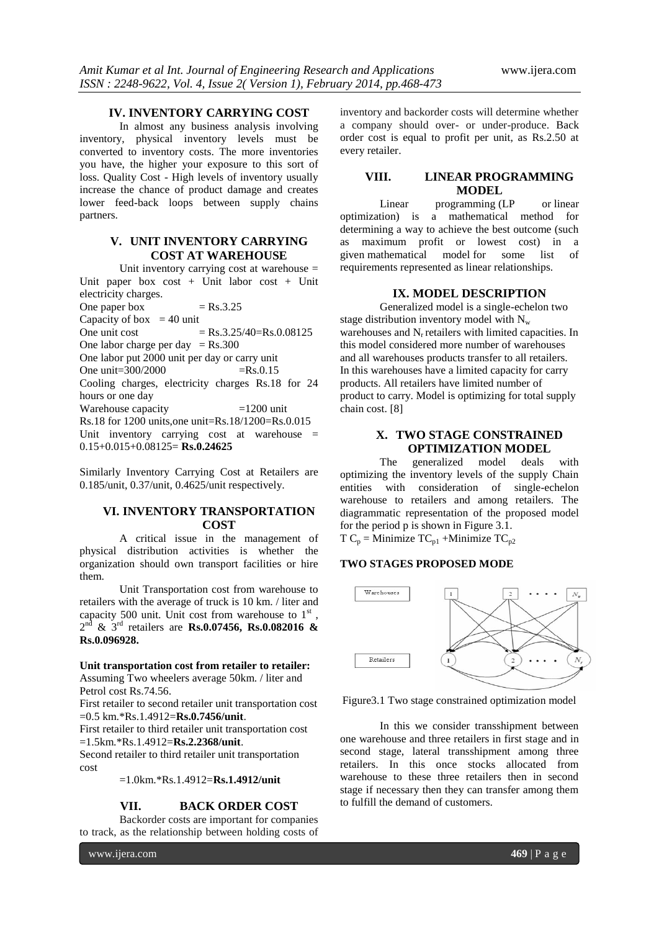### **IV. INVENTORY CARRYING COST**

In almost any business analysis involving inventory, physical inventory levels must be converted to inventory costs. The more inventories you have, the higher your exposure to this sort of loss. Quality Cost - High levels of inventory usually increase the chance of product damage and creates lower feed-back loops between supply chains partners.

# **V. UNIT INVENTORY CARRYING COST AT WAREHOUSE**

Unit inventory carrying cost at warehouse  $=$ Unit paper box cost + Unit labor cost + Unit electricity charges. One paper box  $=$  Rs.3.25 Capacity of box  $= 40$  unit One unit cost  $=$  Rs.3.25/40=Rs.0.08125 One labor charge per day  $=$  Rs.300 One labor put 2000 unit per day or carry unit One unit= $300/2000$  =Rs.0.15 Cooling charges, electricity charges Rs.18 for 24 hours or one day Warehouse capacity  $=1200$  unit Rs.18 for 1200 units,one unit=Rs.18/1200=Rs.0.015 Unit inventory carrying cost at warehouse = 0.15+0.015+0.08125= **Rs.0.24625**

Similarly Inventory Carrying Cost at Retailers are 0.185/unit, 0.37/unit, 0.4625/unit respectively.

### **VI. INVENTORY TRANSPORTATION COST**

A critical issue in the management of physical distribution activities is whether the organization should own transport facilities or hire them.

Unit Transportation cost from warehouse to retailers with the average of truck is 10 km. / liter and capacity 500 unit. Unit cost from warehouse to  $1<sup>st</sup>$ , 2 nd & 3rd retailers are **Rs.0.07456, Rs.0.082016 & Rs.0.096928.**

#### **Unit transportation cost from retailer to retailer:**

Assuming Two wheelers average 50km. / liter and Petrol cost Rs.74.56.

First retailer to second retailer unit transportation cost =0.5 km.\*Rs.1.4912=**Rs.0.7456/unit**.

First retailer to third retailer unit transportation cost =1.5km.\*Rs.1.4912=**Rs.2.2368/unit**.

Second retailer to third retailer unit transportation cost

=1.0km.\*Rs.1.4912=**Rs.1.4912/unit**

# **VII. BACK ORDER COST**

Backorder costs are important for companies to track, as the relationship between holding costs of

inventory and backorder costs will determine whether a company should over- or under-produce. Back order cost is equal to profit per unit, as Rs.2.50 at every retailer.

# **VIII. LINEAR PROGRAMMING MODEL**

Linear programming (LP or linear optimization) is a mathematical method for determining a way to achieve the best outcome (such as maximum profit or lowest cost) in a given [mathematical model](http://en.wikipedia.org/wiki/Mathematical_model) for some list of requirements represented as linear relationships.

### **IX. MODEL DESCRIPTION**

Generalized model is a single-echelon two stage distribution inventory model with  $N_w$ warehouses and  $N_r$  retailers with limited capacities. In this model considered more number of warehouses and all warehouses products transfer to all retailers. In this warehouses have a limited capacity for carry products. All retailers have limited number of product to carry. Model is optimizing for total supply chain cost. [8]

# **X. TWO STAGE CONSTRAINED OPTIMIZATION MODEL**

The generalized model deals with optimizing the inventory levels of the supply Chain entities with consideration of single-echelon warehouse to retailers and among retailers. The diagrammatic representation of the proposed model for the period p is shown in Figure 3.1.  $TC_p =$ Minimize  $TC_{p1} +$ Minimize  $TC_{p2}$ 

### **TWO STAGES PROPOSED MODE**



Figure3.1 Two stage constrained optimization model

In this we consider transshipment between one warehouse and three retailers in first stage and in second stage, lateral transshipment among three retailers. In this once stocks allocated from warehouse to these three retailers then in second stage if necessary then they can transfer among them to fulfill the demand of customers.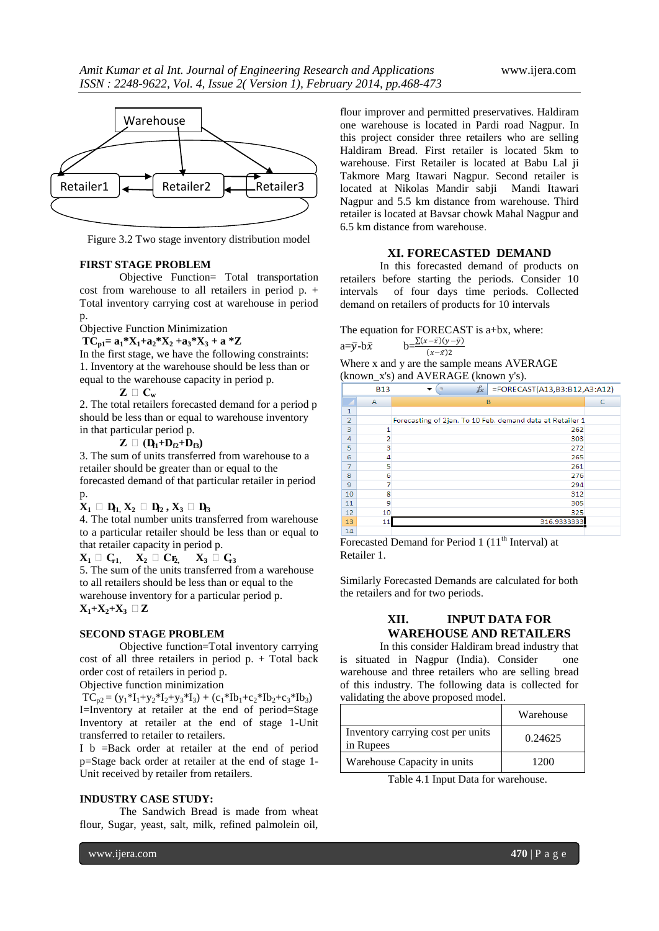

Figure 3.2 Two stage inventory distribution model

#### **FIRST STAGE PROBLEM**

Objective Function= Total transportation cost from warehouse to all retailers in period p. + Total inventory carrying cost at warehouse in period  $p$ .

Objective Function Minimization

 $TC_{p1} = a_1 * X_1 + a_2 * X_2 + a_3 * X_3 + a * Z$ 

In the first stage, we have the following constraints: 1. Inventory at the warehouse should be less than or equal to the warehouse capacity in period p.

 $Z \square C_w$ 

2. The total retailers forecasted demand for a period p should be less than or equal to warehouse inventory in that particular period p.

 $\mathbf{Z} \sqcup (\mathbf{D}_1 + \mathbf{D}_2 + \mathbf{D}_3)$ 

3. The sum of units transferred from warehouse to a retailer should be greater than or equal to the forecasted demand of that particular retailer in period p.

**X<sup>1</sup> ≤ Df1, X<sup>2</sup> ≤ Df2 , X3 ≤ Df3**

4. The total number units transferred from warehouse to a particular retailer should be less than or equal to that retailer capacity in period p.

 $X_1 \square C_{11}$ ,  $X_2 \square C_{22}$ ,  $X_3 \square C_{33}$ 5. The sum of the units transferred from a warehouse to all retailers should be less than or equal to the warehouse inventory for a particular period p.  $X_1 + X_2 + X_3 \square \square$ 

### **SECOND STAGE PROBLEM**

Objective function=Total inventory carrying cost of all three retailers in period p. + Total back order cost of retailers in period p.

Objective function minimization

 $TC_{p2} = (y_1 * I_1 + y_2 * I_2 + y_3 * I_3) + (c_1 * Ib_1 + c_2 * Ib_2 + c_3 * Ib_3)$ I=Inventory at retailer at the end of period=Stage Inventory at retailer at the end of stage 1-Unit transferred to retailer to retailers.

I b =Back order at retailer at the end of period p=Stage back order at retailer at the end of stage 1- Unit received by retailer from retailers.

#### **INDUSTRY CASE STUDY:**

The Sandwich Bread is made from wheat flour, Sugar, yeast, salt, milk, refined palmolein oil,

flour improver and permitted preservatives. Haldiram one warehouse is located in Pardi road Nagpur. In this project consider three retailers who are selling Haldiram Bread. First retailer is located 5km to warehouse. First Retailer is located at Babu Lal ji Takmore Marg Itawari Nagpur. Second retailer is located at Nikolas Mandir sabji Mandi Itawari Nagpur and 5.5 km distance from warehouse. Third retailer is located at Bavsar chowk Mahal Nagpur and 6.5 km distance from warehouse.

# **XI. FORECASTED DEMAND**

In this forecasted demand of products on retailers before starting the periods. Consider 10 intervals of four days time periods. Collected demand on retailers of products for 10 intervals

The equation for FORECAST is a+bx, where:

$$
a=\overline{y} \cdot b\overline{x} \qquad b=\frac{\sum (x-\overline{x})(y-\overline{y})}{(x-\overline{x})2}
$$

Where x and y are the sample means AVERAGE (known\_x's) and AVERAGE (known y's).

|                | $f_x$<br>=FORECAST(A13,B3:B12,A3:A12)<br><b>B13</b> |                                                           |  |  |  |  |  |  |
|----------------|-----------------------------------------------------|-----------------------------------------------------------|--|--|--|--|--|--|
|                | B<br>A                                              |                                                           |  |  |  |  |  |  |
| $\mathbf{1}$   |                                                     |                                                           |  |  |  |  |  |  |
| $\overline{2}$ |                                                     | Forecasting of 2jan. To 10 Feb. demand data at Retailer 1 |  |  |  |  |  |  |
| 3              |                                                     | 262                                                       |  |  |  |  |  |  |
| 4              | 2                                                   | 303                                                       |  |  |  |  |  |  |
| 5              | 3                                                   | 272                                                       |  |  |  |  |  |  |
| 6              | 4                                                   | 265                                                       |  |  |  |  |  |  |
| 7              | 5                                                   | 261                                                       |  |  |  |  |  |  |
| 8              | 6                                                   | 276                                                       |  |  |  |  |  |  |
| 9              | 7                                                   | 294                                                       |  |  |  |  |  |  |
| 10             | 8                                                   | 312                                                       |  |  |  |  |  |  |
| 11             | 9                                                   | 305                                                       |  |  |  |  |  |  |
| 12             | 10                                                  | 325                                                       |  |  |  |  |  |  |
| 13             | 11                                                  | 316.9333333                                               |  |  |  |  |  |  |
| 14             |                                                     |                                                           |  |  |  |  |  |  |

Forecasted Demand for Period  $1(11<sup>th</sup> Interval)$  at Retailer 1.

Similarly Forecasted Demands are calculated for both the retailers and for two periods.

# **XII. INPUT DATA FOR WAREHOUSE AND RETAILERS**

In this consider Haldiram bread industry that is situated in Nagpur (India). Consider one warehouse and three retailers who are selling bread of this industry. The following data is collected for validating the above proposed model.

|                                                | Warehouse |
|------------------------------------------------|-----------|
| Inventory carrying cost per units<br>in Rupees | 0.24625   |
| Warehouse Capacity in units                    | 1200      |

Table 4.1 Input Data for warehouse.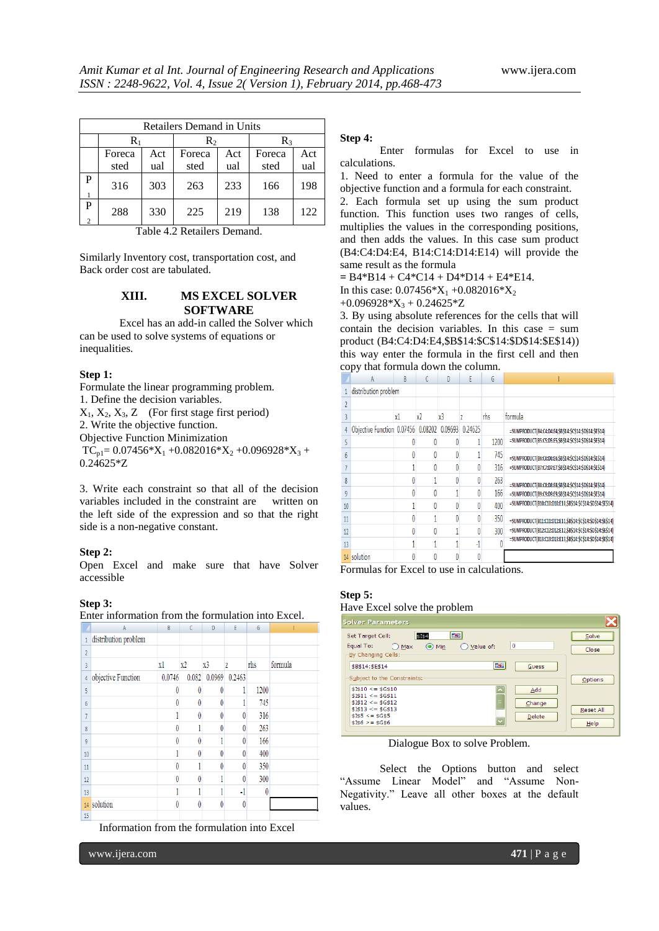|                    | <b>Retailers Demand in Units</b> |                                |       |     |         |     |  |  |  |  |  |
|--------------------|----------------------------------|--------------------------------|-------|-----|---------|-----|--|--|--|--|--|
|                    | $\rm R_1$                        |                                | $R_2$ |     | $R_{3}$ |     |  |  |  |  |  |
|                    | Foreca                           | Foreca<br>Act<br>Act<br>Foreca |       |     |         | Act |  |  |  |  |  |
|                    | sted                             | ual                            | sted  | ual | sted    | ual |  |  |  |  |  |
| P                  | 316                              | 303                            | 263   | 233 | 166     | 198 |  |  |  |  |  |
| P<br>$\mathcal{D}$ | 288                              | 330                            | 225   | 219 | 138     | 122 |  |  |  |  |  |

Table 4.2 Retailers Demand.

Similarly Inventory cost, transportation cost, and Back order cost are tabulated.

# **XIII. MS EXCEL SOLVER SOFTWARE**

Excel has an add-in called the Solver which can be used to solve systems of equations or inequalities.

### **Step 1:**

Formulate the linear programming problem. 1. Define the decision variables.  $X_1, X_2, X_3, Z$  (For first stage first period) 2. Write the objective function. Objective Function Minimization  $TC_{p1}= 0.07456*X_1 + 0.082016*X_2 + 0.096928*X_3 +$ 0.24625\*Z

3. Write each constraint so that all of the decision variables included in the constraint are written on the left side of the expression and so that the right side is a non-negative constant.

### **Step 2:**

Open Excel and make sure that have Solver accessible

### **Step 3:**

```
Enter information from the formulation into Excel.
```

|              | A                    | B            | $\mathsf{C}$ | D              | E        | G    |         |
|--------------|----------------------|--------------|--------------|----------------|----------|------|---------|
| $\mathbf{1}$ | distribution problem |              |              |                |          |      |         |
| 2            |                      |              |              |                |          |      |         |
| 3            |                      | x1           | x2           | X <sub>3</sub> | Z        | rhs  | formula |
| 4            | objective Function   | 0.0746       | 0.082        | 0.0969         | 0.2463   |      |         |
| 5            |                      | 0            | 0            | 0              |          | 1200 |         |
| 6            |                      | $\mathbf{0}$ | 0            | 0              |          | 745  |         |
|              |                      |              | $\theta$     | 0              | $\theta$ | 316  |         |
| 8            |                      | 0            |              | 0              | 0        | 263  |         |
| 9            |                      | $\theta$     | 0            |                | $\theta$ | 166  |         |
| 10           |                      |              | 0            | ٨              | $\theta$ | 400  |         |
| 11           |                      | 0            |              | 0              | $\theta$ | 350  |         |
| 12           |                      | $\theta$     | $\theta$     |                | $\theta$ | 300  |         |
| 13           |                      |              |              |                | -1       | 0    |         |
| 14           | solution             | 0            | 0            | 0              | $\theta$ |      |         |
| 15           |                      |              |              |                |          |      |         |

Information from the formulation into Excel

#### **Step 4:**

Enter formulas for Excel to use in calculations.

1. Need to enter a formula for the value of the objective function and a formula for each constraint. 2. Each formula set up using the sum product function. This function uses two ranges of cells, multiplies the values in the corresponding positions, and then adds the values. In this case sum product (B4:C4:D4:E4, B14:C14:D14:E14) will provide the same result as the formula

**=** B4\*B14 + C4\*C14 + D4\*D14 + E4\*E14.

In this case:  $0.07456 \times X_1 + 0.082016 \times X_2$ 

 $+0.096928*X_3 + 0.24625*Z$ 

3. By using absolute references for the cells that will contain the decision variables. In this case = sum product (B4:C4:D4:E4,\$B\$14:\$C\$14:\$D\$14:\$E\$14)) this way enter the formula in the first cell and then copy that formula down the column.

|    | A                                                  | B  |    | $\mathsf{D}$   | F  | G    |                                                              |
|----|----------------------------------------------------|----|----|----------------|----|------|--------------------------------------------------------------|
|    | distribution problem                               |    |    |                |    |      |                                                              |
|    |                                                    |    |    |                |    |      |                                                              |
|    |                                                    | x1 | x2 | x <sup>3</sup> |    | rhs  | formula                                                      |
| 4  | Objective Function 0.07456 0.08202 0.09693 0.24625 |    |    |                |    |      | =SUMPRODUCT(B4:C4:D4:E4,\$B\$14:\$C\$14:\$D\$14:\$E\$14)     |
| 5  |                                                    |    |    |                |    | 1200 | =SUMPRODUCT(B5:C5:D5:E5,\$B\$14:\$C\$14:\$D\$14:\$E\$14)     |
| 6  |                                                    |    |    |                |    | 745  | =SUMPRODUCT(B6:C6:D6:E6,\$B\$14:\$C\$14:\$D\$14:\$E\$14)     |
|    |                                                    |    |    |                |    | 316  | =SUMPRODUCT(B7:C7:D7:E7,\$B\$14:\$C\$14:\$D\$14:\$E\$14)     |
| 8  |                                                    |    |    |                | 0  | 263  | =SUMPRODUCT(B8:C8:D8:E8,\$B\$14:\$C\$14:\$D\$14:\$E\$14)     |
| 9  |                                                    |    |    |                |    | 166  | =SUMPRODUCT(B9:C9:D9:E9,\$B\$14:\$C\$14:\$D\$14:\$E\$14)     |
| 10 |                                                    |    |    |                |    | 400  | =SUMPRODUCT(B10:C10:D10:E10,\$B\$14:\$C\$14:\$D\$14:\$E\$14) |
| 11 |                                                    |    |    |                |    | 350  | =SUMPRODUCT(B11:C11:D11:E11.SB\$14:\$C\$14:\$D\$14:\$E\$14)  |
| 12 |                                                    |    |    |                |    | 300  | =SUMPRODUCT(B12:C12:D12:E12,\$B\$14:\$C\$14:\$D\$14:\$E\$14) |
| 13 |                                                    |    |    |                | -1 |      | =SUMPRODUCT(B13:C13:D13:E13,\$B\$14:\$C\$14:\$D\$14:\$E\$14) |
| 14 | solution                                           |    |    |                |    |      |                                                              |

Formulas for Excel to use in calculations.

#### **Step 5:**

### Have Excel solve the problem

| <b>Solver Parameters</b>                                                                            |                  |
|-----------------------------------------------------------------------------------------------------|------------------|
| Es.<br>\$I\$4<br>Set Target Cell:                                                                   | Solve            |
| $\circ$<br>Equal To:<br>$\odot$ Min<br>$\bigcirc$ Value of:<br>$\bigcirc$ Max<br>By Changing Cells: | Close            |
| ES.<br>\$B\$14:\$E\$14<br><b>Guess</b>                                                              |                  |
| Subject to the Constraints:                                                                         | Options          |
| $$I$10 \leq S$6$10$<br>$\overline{\phantom{a}}$<br>Add                                              |                  |
| $$I$11 \leq S$311$                                                                                  |                  |
| $$I$12 \leq S$312$<br>Change<br>$$I$13 \leq S$6$13$                                                 |                  |
| $$IS5 \leq $GS5$<br>Delete                                                                          | <b>Reset All</b> |
| $$IS6 > = $G$6$                                                                                     | He               |

Dialogue Box to solve Problem.

Select the Options button and select "Assume Linear Model" and "Assume Non-Negativity." Leave all other boxes at the default values.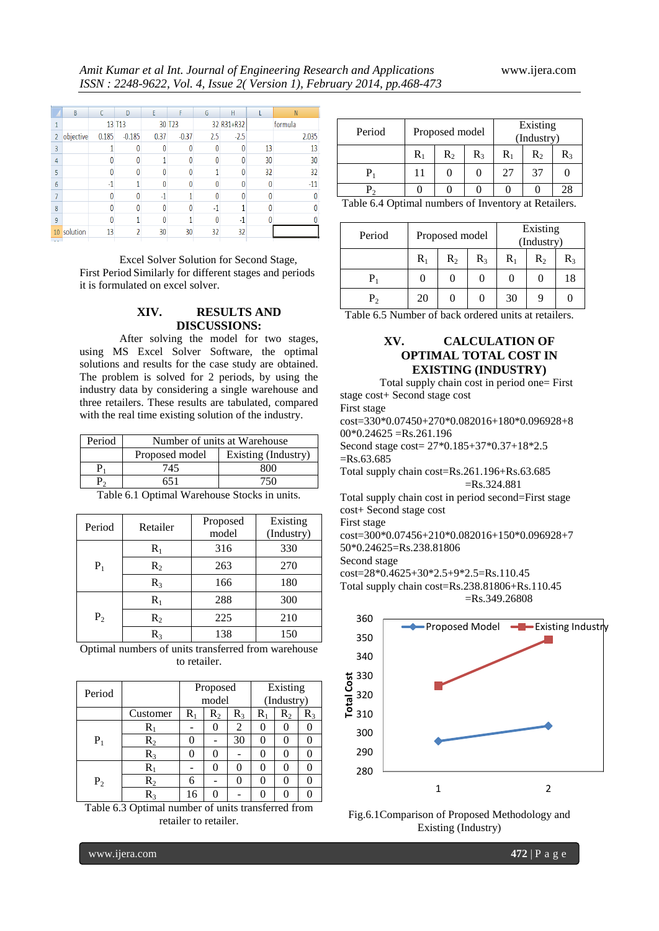|                | B         | C     | D            | E               | F                  | G   | H          |    | N       |
|----------------|-----------|-------|--------------|-----------------|--------------------|-----|------------|----|---------|
| 1              |           |       | 13 T13       |                 | 30 T <sub>23</sub> |     | 32 R31+R32 |    | formula |
| $\overline{2}$ | objective | 0.185 | $-0.185$     | 0.37            | $-0.37$            | 2.5 | $-2.5$     |    | 2.035   |
| 3              |           |       | 0            |                 |                    |     | 0          | 13 | 13      |
| 4              |           |       | 0            |                 |                    |     | 0          | 30 | 30      |
| 5              |           |       | 0            | ٥               |                    |     | 0          | 32 | 32      |
| $6\phantom{1}$ |           | $-1$  |              |                 |                    |     | ٥          | 0  | $-11$   |
| 7              |           | Λ     | $\mathbf{0}$ | -1              |                    |     | 0          | 0  |         |
| 8              |           |       | $\mathbf{0}$ | Λ               |                    | ÷   |            |    |         |
| 9              |           | ٨     |              | 0               |                    | ٥   | $-1$       |    |         |
| 10             | solution  | 13    |              | 30 <sup>°</sup> | 30                 | 32  | 32         |    |         |
|                |           |       |              |                 |                    |     |            |    |         |

Excel Solver Solution for Second Stage, First Period Similarly for different stages and periods it is formulated on excel solver.

# **XIV. RESULTS AND DISCUSSIONS:**

After solving the model for two stages, using MS Excel Solver Software, the optimal solutions and results for the case study are obtained. The problem is solved for 2 periods, by using the industry data by considering a single warehouse and three retailers. These results are tabulated, compared with the real time existing solution of the industry.

| Period | Number of units at Warehouse |                     |  |  |  |  |
|--------|------------------------------|---------------------|--|--|--|--|
|        | Proposed model               | Existing (Industry) |  |  |  |  |
|        | 745                          | 800                 |  |  |  |  |
|        |                              | 750                 |  |  |  |  |

Table 6.1 Optimal Warehouse Stocks in units.

| Period | Retailer | Proposed<br>model | Existing<br>(Industry) |  |
|--------|----------|-------------------|------------------------|--|
|        | $R_1$    | 316               | 330                    |  |
| $P_1$  | $R_2$    | 263               | 270                    |  |
|        | $R_3$    | 166               | 180                    |  |
|        | $R_1$    | 288               | 300                    |  |
| $P_2$  | $R_{2}$  | 225               | 210                    |  |
|        | $R_3$    | 138               | 150                    |  |

Optimal numbers of units transferred from warehouse to retailer.

| Period |           | Proposed<br>model |           |       | Existing<br>(Industry) |           |       |
|--------|-----------|-------------------|-----------|-------|------------------------|-----------|-------|
|        | Customer  | $\rm R_1$         | $\rm R_2$ | $R_3$ | $R_1$                  | $\rm R_2$ | $R_3$ |
|        | $\rm R_1$ |                   |           | 2     |                        |           |       |
| $P_1$  | $R_2$     |                   |           | 30    |                        |           |       |
|        | $R_3$     |                   |           |       | 0                      |           |       |
|        | $R_1$     |                   |           |       | 0                      |           |       |
| $P_2$  | $R_2$     | 6                 |           |       | $\mathcal{L}$          |           |       |
|        | $R_3$     | 16                |           |       |                        |           |       |

Table 6.3 Optimal number of units transferred from retailer to retailer.

|       |    | Proposed model | Existing<br>(Industry) |    |                                                     |  |
|-------|----|----------------|------------------------|----|-----------------------------------------------------|--|
| $R_1$ | R, | $R_{3}$        | $R_1$                  | R٥ | $R_{3}$                                             |  |
| 11    |    |                | 27                     | 37 |                                                     |  |
|       |    |                |                        |    | 28                                                  |  |
|       |    |                |                        |    | Table 6.4 Ontimal numbers of Inventory at Datailors |  |

Table 6.4 Optimal numbers of Inventory at Retailers.

| Period  |       | Proposed model |    | Existing<br>(Industry) |       |    |  |
|---------|-------|----------------|----|------------------------|-------|----|--|
|         | $R_1$ | $\rm R_2$      | R3 | $R_1$                  | $R_2$ | R3 |  |
| $P_1$   |       |                |    |                        |       | 18 |  |
| $P_{2}$ | 20    |                |    | 30                     |       |    |  |

Table 6.5 Number of back ordered units at retailers.

# **XV. CALCULATION OF OPTIMAL TOTAL COST IN EXISTING (INDUSTRY)**

Total supply chain cost in period one= First stage cost+ Second stage cost

First stage

cost=330\*0.07450+270\*0.082016+180\*0.096928+8  $00*0.24625 = Rs.261.196$ Second stage cost= 27\*0.185+37\*0.37+18\*2.5

 $=Rs.63.685$ Total supply chain cost=Rs.261.196+Rs.63.685

=Rs.324.881

Total supply chain cost in period second=First stage cost+ Second stage cost

First stage

cost=300\*0.07456+210\*0.082016+150\*0.096928+7 50\*0.24625=Rs.238.81806

Second stage

cost=28\*0.4625+30\*2.5+9\*2.5=Rs.110.45

Total supply chain cost=Rs.238.81806+Rs.110.45 =Rs.349.26808



Fig.6.1Comparison of Proposed Methodology and Existing (Industry)

www.ijera.com **472** | P a g e